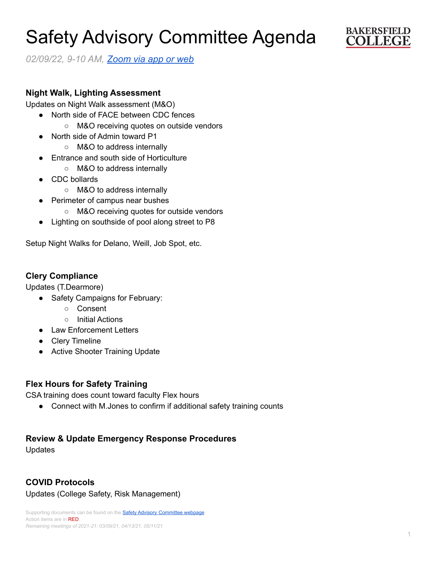# Safety Advisory Committee Agenda



*02/09/22, 9-10 AM, [Zoom](https://cccconfer.zoom.us/j/95588517472?pwd=OTV2dmFlMHN3dWkxRndrem1YL2dQQT09) via app or web*

### **Night Walk, Lighting Assessment**

Updates on Night Walk assessment (M&O)

- North side of FACE between CDC fences
	- M&O receiving quotes on outside vendors
- North side of Admin toward P1
	- M&O to address internally
- Entrance and south side of Horticulture
	- M&O to address internally
- CDC bollards
	- M&O to address internally
- Perimeter of campus near bushes
	- M&O receiving quotes for outside vendors
- Lighting on southside of pool along street to P8

Setup Night Walks for Delano, Weill, Job Spot, etc.

### **Clery Compliance**

Updates (T.Dearmore)

- Safety Campaigns for February:
	- Consent
	- Initial Actions
- Law Enforcement Letters
- Clery Timeline
- Active Shooter Training Update

# **Flex Hours for Safety Training**

CSA training does count toward faculty Flex hours

• Connect with M. Jones to confirm if additional safety training counts

#### **Review & Update Emergency Response Procedures**

Updates

# **COVID Protocols**

Updates (College Safety, Risk Management)